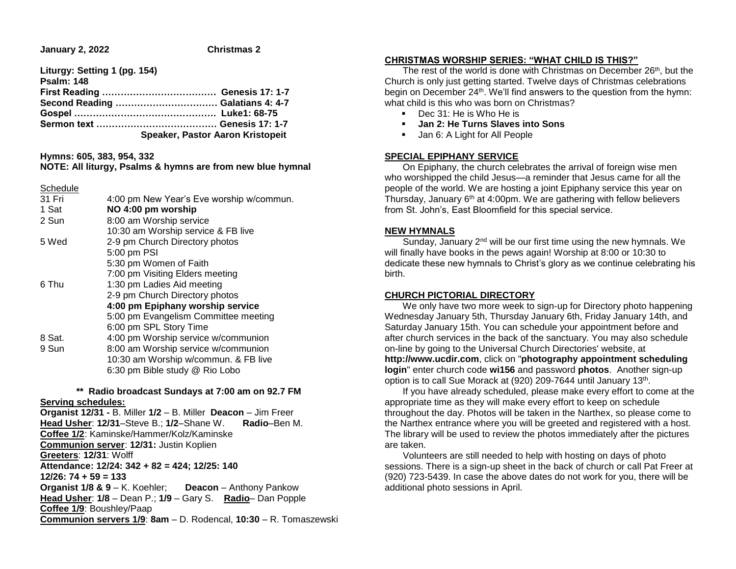**January 2, 2022 Christmas 2** 

**Liturgy: Setting 1 (pg. 154) Psalm: 148 First Reading ………………………………. Genesis 17: 1-7 Second Reading …………………………… Galatians 4: 4-7 Gospel ………………………………………. Luke1: 68-75 Sermon text ………………………………… Genesis 17: 1-7 Speaker, Pastor Aaron Kristopeit**

**Hymns: 605, 383, 954, 332**

# **NOTE: All liturgy, Psalms & hymns are from new blue hymnal**

Schedule 31 Fri 4:00 pm New Year's Eve worship w/commun. 1 Sat **NO 4:00 pm worship** 2 Sun 8:00 am Worship service 10:30 am Worship service & FB live 5 Wed 2-9 pm Church Directory photos 5:00 pm PSI 5:30 pm Women of Faith 7:00 pm Visiting Elders meeting 6 Thu 1:30 pm Ladies Aid meeting 2-9 pm Church Directory photos **4:00 pm Epiphany worship service** 5:00 pm Evangelism Committee meeting 6:00 pm SPL Story Time 8 Sat. 4:00 pm Worship service w/communion 9 Sun 8:00 am Worship service w/communion 10:30 am Worship w/commun. & FB live 6:30 pm Bible study @ Rio Lobo

## **\*\* Radio broadcast Sundays at 7:00 am on 92.7 FM**

#### **Serving schedules:**

**Organist 12/31 -** B. Miller **1/2** – B. Miller **Deacon** – Jim Freer **Head Usher**: **12/31**–Steve B.; **1/2**–Shane W. **Radio**–Ben M. **Coffee 1/2**: Kaminske/Hammer/Kolz/Kaminske **Communion server**: **12/31:** Justin Koplien **Greeters**: **12/31**: Wolff **Attendance: 12/24: 342 + 82 = 424; 12/25: 140 12/26: 74 + 59 = 133 Organist 1/8 & 9** – K. Koehler; **Deacon** – Anthony Pankow **Head Usher**: **1/8** – Dean P.; **1/9** – Gary S. **Radio**– Dan Popple **Coffee 1/9**: Boushley/Paap **Communion servers 1/9**: **8am** – D. Rodencal, **10:30** – R. Tomaszewski

#### **CHRISTMAS WORSHIP SERIES: "WHAT CHILD IS THIS?"**

The rest of the world is done with Christmas on December 26<sup>th</sup>, but the Church is only just getting started. Twelve days of Christmas celebrations begin on December 24<sup>th</sup>. We'll find answers to the question from the hymn: what child is this who was born on Christmas?

- Dec 31: He is Who He is
- **Jan 2: He Turns Slaves into Sons**
- **Jan 6: A Light for All People**

## **SPECIAL EPIPHANY SERVICE**

 On Epiphany, the church celebrates the arrival of foreign wise men who worshipped the child Jesus—a reminder that Jesus came for all the people of the world. We are hosting a joint Epiphany service this year on Thursday, January 6th at 4:00pm. We are gathering with fellow believers from St. John's, East Bloomfield for this special service.

## **NEW HYMNALS**

Sunday, January 2<sup>nd</sup> will be our first time using the new hymnals. We will finally have books in the pews again! Worship at 8:00 or 10:30 to dedicate these new hymnals to Christ's glory as we continue celebrating his birth.

## **CHURCH PICTORIAL DIRECTORY**

 We only have two more week to sign-up for Directory photo happening Wednesday January 5th, Thursday January 6th, Friday January 14th, and Saturday January 15th. You can schedule your appointment before and after church services in the back of the sanctuary. You may also schedule on-line by going to the Universal Church Directories' website, at **http://www.ucdir.com**, click on "**photography appointment scheduling login**" enter church code **wi156** and password **photos**. Another sign-up option is to call Sue Morack at (920) 209-7644 until January 13<sup>th</sup>.

 If you have already scheduled, please make every effort to come at the appropriate time as they will make every effort to keep on schedule throughout the day. Photos will be taken in the Narthex, so please come to the Narthex entrance where you will be greeted and registered with a host. The library will be used to review the photos immediately after the pictures are taken.

 Volunteers are still needed to help with hosting on days of photo sessions. There is a sign-up sheet in the back of church or call Pat Freer at (920) 723-5439. In case the above dates do not work for you, there will be additional photo sessions in April.